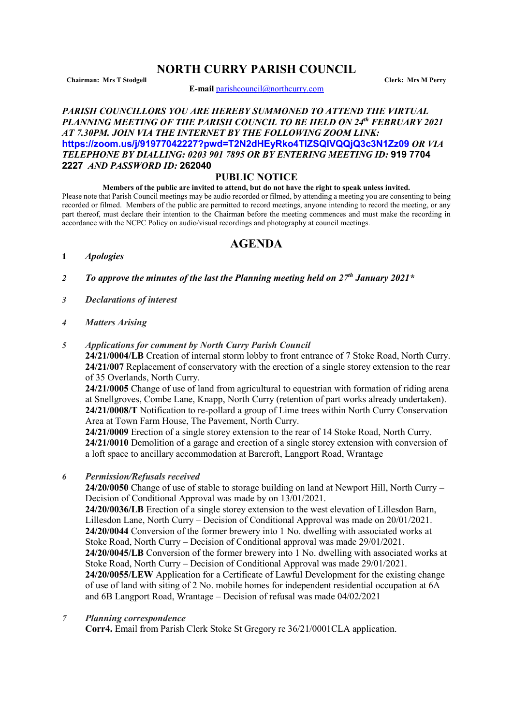# **NORTH CURRY PARISH COUNCIL**

**Chairman: Mrs T Stodgell Clerk: Mrs M Perry**

**E-mail** [parishcouncil@northcurry.com](mailto:parishcouncil@northcurry.com)

## *PARISH COUNCILLORS YOU ARE HEREBY SUMMONED TO ATTEND THE VIRTUAL PLANNING MEETING OF THE PARISH COUNCIL TO BE HELD ON 24th FEBRUARY 2021 AT 7.30PM. JOIN VIA THE INTERNET BY THE FOLLOWING ZOOM LINK:* **<https://zoom.us/j/91977042227?pwd=T2N2dHEyRko4TlZSQlVQQjQ3c3N1Zz09>** *OR VIA TELEPHONE BY DIALLING: 0203 901 7895 OR BY ENTERING MEETING ID:* **919 7704 2227** *AND PASSWORD ID:* **262040**

### **PUBLIC NOTICE**

#### **Members of the public are invited to attend, but do not have the right to speak unless invited.**

Please note that Parish Council meetings may be audio recorded or filmed, by attending a meeting you are consenting to being recorded or filmed. Members of the public are permitted to record meetings, anyone intending to record the meeting, or any part thereof, must declare their intention to the Chairman before the meeting commences and must make the recording in accordance with the NCPC Policy on audio/visual recordings and photography at council meetings.

# **AGENDA**

- **1** *Apologies*
- *2 To approve the minutes of the last the Planning meeting held on 27th January 2021\**
- *3 Declarations of interest*
- *4 Matters Arising*

### *5 Applications for comment by North Curry Parish Council*

**24/21/0004/LB** Creation of internal storm lobby to front entrance of 7 Stoke Road, North Curry. **24/21/007** Replacement of conservatory with the erection of a single storey extension to the rear of 35 Overlands, North Curry.

**24/21/0005** Change of use of land from agricultural to equestrian with formation of riding arena at Snellgroves, Combe Lane, Knapp, North Curry (retention of part works already undertaken). **24/21/0008/T** Notification to re-pollard a group of Lime trees within North Curry Conservation Area at Town Farm House, The Pavement, North Curry.

**24/21/0009** Erection of a single storey extension to the rear of 14 Stoke Road, North Curry. **24/21/0010** Demolition of a garage and erection of a single storey extension with conversion of a loft space to ancillary accommodation at Barcroft, Langport Road, Wrantage

*6 Permission/Refusals received*

**24/20/0050** Change of use of stable to storage building on land at Newport Hill, North Curry – Decision of Conditional Approval was made by on 13/01/2021.

**24/20/0036/LB** Erection of a single storey extension to the west elevation of Lillesdon Barn, Lillesdon Lane, North Curry – Decision of Conditional Approval was made on 20/01/2021. **24/20/0044** Conversion of the former brewery into 1 No. dwelling with associated works at Stoke Road, North Curry – Decision of Conditional approval was made 29/01/2021. **24/20/0045/LB** Conversion of the former brewery into 1 No. dwelling with associated works at Stoke Road, North Curry – Decision of Conditional Approval was made 29/01/2021. **24/20/0055/LEW** Application for a Certificate of Lawful Development for the existing change of use of land with siting of 2 No. mobile homes for independent residential occupation at 6A

and 6B Langport Road, Wrantage – Decision of refusal was made 04/02/2021

#### *7 Planning correspondence*

**Corr4.** Email from Parish Clerk Stoke St Gregory re 36/21/0001CLA application.